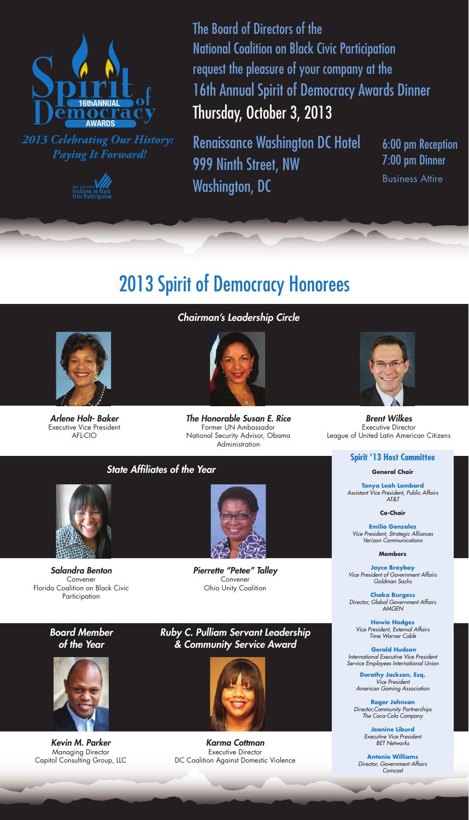

*2013 Celebrating Our History: Paying It Forward!*



The Board of Directors of the National Coalition on Black Civic Participation request the pleasure of your company at the 16th Annual Spirit of Democracy Awards Dinner Thursday, October 3, 2013

Renaissance Washington DC Hotel 999 Ninth Street, NW Washington, DC

6:00 pm Reception 7:00 pm Dinner Business Attire

# 2013 Spirit of Democracy Honorees



*Arlene Holt- Baker* Executive Vice President AFL-CIO

*Chairman's Leadership Circle*



*The Honorable Susan E. Rice* Former UN Ambassador National Security Advisor, Obama **Administration** 



*Brent Wilkes* Executive Director League of United Latin American Citizens

### **Spirit '13 Host Committee**

**General Chair**

**Tanya Leah Lombard** *Assistant Vice President, Public Affairs AT&T*

**Co-Chair**

**Emilio Gonzalez** *Vice President, Strategic Alliances Verizon Communications*

#### **Members**

**Joyce Brayboy** *Vice President of Government Affairs Goldman Sachs*

**Chaka Burgess** *Director, Global Government Affairs AMGEN*

**Howie Hodges** *Vice President, External Affairs Time Warner Cable*

**Gerald Hudson** *International Executive Vice President Service Employees International Union*

**Dorothy Jackson, Esq.** *Vice President American Gaming Association*

**Roger Johnson** *Director,Community Partnerships The Coca-Cola Company*

> **Jeanine Liburd** *Executive Vice President BET Networks*

**Antonio Williams** *Director, Government Affairs Comcast*

 $\overline{\phantom{a}}$ 



*State Affiliates of the Year* 

*Salandra Benton* Convener Florida Coalition on Black Civic Participation

*Board Member of the Year* 



*Kevin M. Parker* Managing Director Capitol Consulting Group, LLC



*Pierrette "Petee" Talley* Convener Ohio Unity Coalition

## *Ruby C. Pulliam Servant Leadership & Community Service Award*



*Karma Cottman* Executive Director DC Coalition Against Domestic Violence